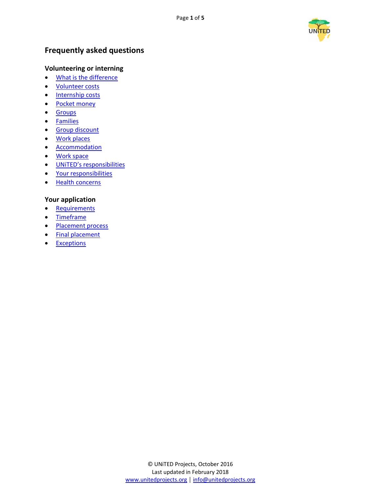

# <span id="page-0-0"></span>**Frequently asked questions**

# **Volunteering or interning**

- [What is the difference](#page-1-0)
- [Volunteer costs](#page-1-1)
- [Internship costs](#page-1-2)
- [Pocket money](#page-1-3)
- [Groups](#page-1-4)
- [Families](#page-2-0)
- [Group](#page-2-1) discount
- [Work places](#page-2-2)
- [Accommodation](#page-2-3)
- [Work space](#page-2-4)
- [UNiTED's responsibilities](#page-3-0)
- [Your responsibilities](#page-3-1)
- [Health concerns](#page-3-2)

# **Your application**

- [Requirements](#page-4-0)
- [Timeframe](#page-4-1)
- [Placement process](#page-4-2)
- [Final placement](#page-4-3)
- [Exceptions](#page-4-4)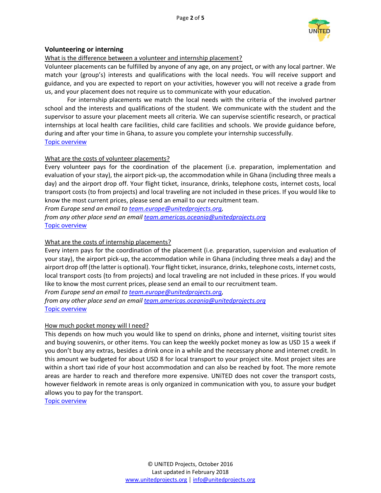

### **Volunteering or interning**

### <span id="page-1-0"></span>What is the difference between a volunteer and internship placement?

Volunteer placements can be fulfilled by anyone of any age, on any project, or with any local partner. We match your (group's) interests and qualifications with the local needs. You will receive support and guidance, and you are expected to report on your activities, however you will not receive a grade from us, and your placement does not require us to communicate with your education.

For internship placements we match the local needs with the criteria of the involved partner school and the interests and qualifications of the student. We communicate with the student and the supervisor to assure your placement meets all criteria. We can supervise scientific research, or practical internships at local health care facilities, child care facilities and schools. We provide guidance before, during and after your time in Ghana, to assure you complete your internship successfully.

#### [Topic overview](#page-0-0)

#### <span id="page-1-1"></span>What are the costs of volunteer placements?

Every volunteer pays for the coordination of the placement (i.e. preparation, implementation and evaluation of your stay), the airport pick-up, the accommodation while in Ghana (including three meals a day) and the airport drop off. Your flight ticket, insurance, drinks, telephone costs, internet costs, local transport costs (to from projects) and local traveling are not included in these prices. If you would like to know the most current prices, please send an email to our recruitment team.

*From Europe send an email t[o team.europe@unitedprojects.org,](mailto:team.europe@unitedprojects.org)*

*from any other place send an emai[l team.americas.oceania@unitedprojects.org](mailto:team.americas.oceania@unitedprojects.org)* [Topic overview](#page-0-0)

### <span id="page-1-2"></span>What are the costs of internship placements?

Every intern pays for the coordination of the placement (i.e. preparation, supervision and evaluation of your stay), the airport pick-up, the accommodation while in Ghana (including three meals a day) and the airport drop off (the latter is optional). Your flight ticket, insurance, drinks, telephone costs, internet costs, local transport costs (to from projects) and local traveling are not included in these prices. If you would like to know the most current prices, please send an email to our recruitment team.

*From Europe send an email t[o team.europe@unitedprojects.org,](mailto:team.europe@unitedprojects.org)* 

*from any other place send an emai[l team.americas.oceania@unitedprojects.org](mailto:team.americas.oceania@unitedprojects.org)* [Topic overview](#page-0-0)

#### <span id="page-1-3"></span>How much pocket money will I need?

This depends on how much you would like to spend on drinks, phone and internet, visiting tourist sites and buying souvenirs, or other items. You can keep the weekly pocket money as low as USD 15 a week if you don't buy any extras, besides a drink once in a while and the necessary phone and internet credit. In this amount we budgeted for about USD 8 for local transport to your project site. Most project sites are within a short taxi ride of your host accommodation and can also be reached by foot. The more remote areas are harder to reach and therefore more expensive. UNiTED does not cover the transport costs, however fieldwork in remote areas is only organized in communication with you, to assure your budget allows you to pay for the transport.

<span id="page-1-4"></span>[Topic overview](#page-0-0)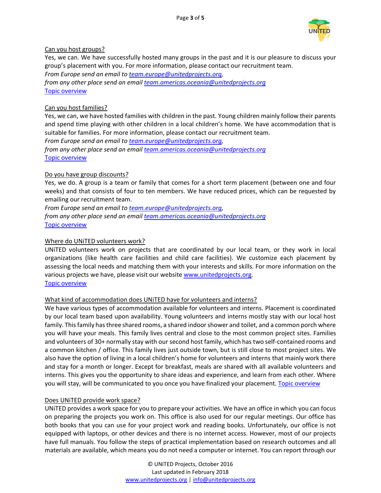

### Can you host groups?

Yes, we can. We have successfully hosted many groups in the past and it is our pleasure to discuss your group's placement with you. For more information, please contact our recruitment team.

*From Europe send an email t[o team.europe@unitedprojects.org,](mailto:team.europe@unitedprojects.org)* 

*from any other place send an emai[l team.americas.oceania@unitedprojects.org](mailto:team.americas.oceania@unitedprojects.org)* [Topic overview](#page-0-0)

### <span id="page-2-0"></span>Can you host families?

Yes, we can, we have hosted families with children in the past. Young children mainly follow their parents and spend time playing with other children in a local children's home. We have accommodation that is suitable for families. For more information, please contact our recruitment team.

*From Europe send an email t[o team.europe@unitedprojects.org,](mailto:team.europe@unitedprojects.org)* 

*from any other place send an emai[l team.americas.oceania@unitedprojects.org](mailto:team.americas.oceania@unitedprojects.org)* [Topic overview](#page-0-0)

### <span id="page-2-1"></span>Do you have group discounts?

Yes, we do. A group is a team or family that comes for a short term placement (between one and four weeks) and that consists of four to ten members. We have reduced prices, which can be requested by emailing our recruitment team.

*From Europe send an email t[o team.europe@unitedprojects.org,](mailto:team.europe@unitedprojects.org)* 

*from any other place send an emai[l team.americas.oceania@unitedprojects.org](mailto:team.americas.oceania@unitedprojects.org)* [Topic overview](#page-0-0)

### <span id="page-2-2"></span>Where do UNiTED volunteers work?

UNiTED volunteers work on projects that are coordinated by our local team, or they work in local organizations (like health care facilities and child care facilities). We customize each placement by assessing the local needs and matching them with your interests and skills. For more information on the various projects we have, please visit our websit[e www.unitedprojects.org.](http://www.unitedprojects.org/) [Topic overview](#page-0-0)

### <span id="page-2-3"></span>What kind of accommodation does UNiTED have for volunteers and interns?

We have various types of accommodation available for volunteers and interns. Placement is coordinated by our local team based upon availability. Young volunteers and interns mostly stay with our local host family. This family has three shared rooms, a shared indoor shower and toilet, and a common porch where you will have your meals. This family lives central and close to the most common project sites. Families and volunteers of 30+ normally stay with our second host family, which has two self-contained rooms and a common kitchen / office. This family lives just outside town, but is still close to most project sites. We also have the option of living in a local children's home for volunteers and interns that mainly work there and stay for a month or longer. Except for breakfast, meals are shared with all available volunteers and interns. This gives you the opportunity to share ideas and experience, and learn from each other. Where you will stay, will be communicated to you once you have finalized your placement. [Topic overview](#page-0-0)

### <span id="page-2-4"></span>Does UNiTED provide work space?

UNiTED provides a work space for you to prepare your activities. We have an office in which you can focus on preparing the projects you work on. This office is also used for our regular meetings. Our office has both books that you can use for your project work and reading books. Unfortunately, our office is not equipped with laptops, or other devices and there is no internet access. However, most of our projects have full manuals. You follow the steps of practical implementation based on research outcomes and all materials are available, which means you do not need a computer or internet. You can report through our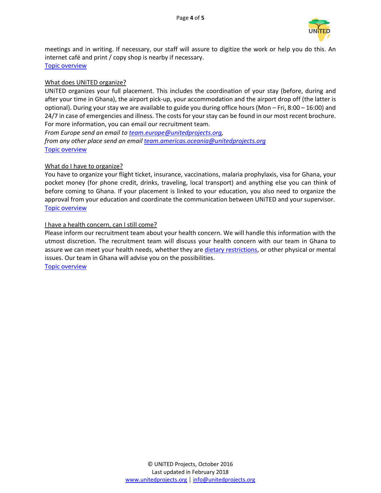

meetings and in writing. If necessary, our staff will assure to digitize the work or help you do this. An internet café and print / copy shop is nearby if necessary.

[Topic overview](#page-0-0)

### <span id="page-3-0"></span>What does UNiTED organize?

UNiTED organizes your full placement. This includes the coordination of your stay (before, during and after your time in Ghana), the airport pick-up, your accommodation and the airport drop off (the latter is optional). During your stay we are available to guide you during office hours (Mon – Fri, 8:00 – 16:00) and 24/7 in case of emergencies and illness. The costs for your stay can be found in our most recent brochure. For more information, you can email our recruitment team.

*From Europe send an email t[o team.europe@unitedprojects.org,](mailto:team.europe@unitedprojects.org) from any other place send an emai[l team.americas.oceania@unitedprojects.org](mailto:team.americas.oceania@unitedprojects.org)* [Topic overview](#page-0-0)

### <span id="page-3-1"></span>What do I have to organize?

You have to organize your flight ticket, insurance, vaccinations, malaria prophylaxis, visa for Ghana, your pocket money (for phone credit, drinks, traveling, local transport) and anything else you can think of before coming to Ghana. If your placement is linked to your education, you also need to organize the approval from your education and coordinate the communication between UNiTED and your supervisor. [Topic overview](#page-0-0)

### <span id="page-3-2"></span>I have a health concern, can I still come?

Please inform our recruitment team about your health concern. We will handle this information with the utmost discretion. The recruitment team will discuss your health concern with our team in Ghana to assure we can meet your health needs, whether they are dietary restrictions, or other physical or mental issues. Our team in Ghana will advise you on the possibilities. [Topic overview](#page-0-0)